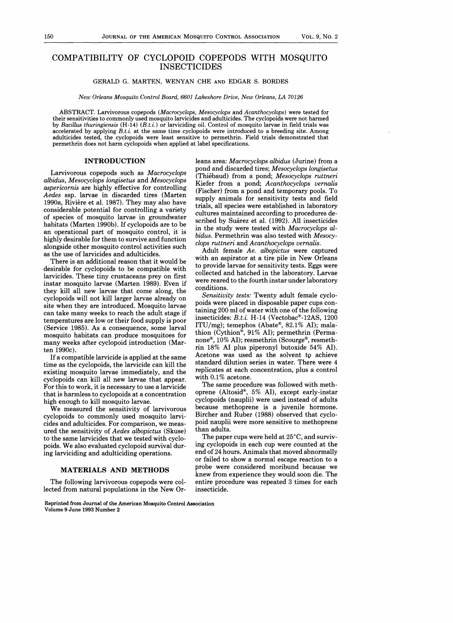# COMPATIBILITY OF CYCLOPOID COPEPODS WITH MOSQUITO INSECTICIDES

# GERALD G. MARTEN, WENYAN CHE AND EDGAR S. BORDES

*New Orleans Mosquito Control Board, 6601 Lakeshore Drive, New Orleans, LA 70126* 

~BST~~q~. Larvivorous copepods *(Macrocyclops, Mesocyclops* and *Acanthocyclops)* were tested for their sensitivities to commonly used mosquito larvicides and adulticides. The cyclopoids were not harmed by *Bacillus thuringiensis* (H-14) *(B.t.i.)* or larviciding oil. Control of mosquito larvae in field trials was accelerated by applying  $B.t.$  at the same time cyclopoids were introduced to a breeding site. Among adulticides tested, the cyclopoids were least sensitive to permethrin. Field trials demonstrated that permethrin does not harm cyclopoids when applied at label specifications.

## INTRODUCTION

Larvivorous copepods such as *Macrocyclops albidus, Mesocyclops longisetus* and *Mesocyclops aspericornis* are highly effective for controlling *Aedes* ssp. larvae in discarded tires (Marten 1990a, Riviere et al. 1987). They may also have considerable potential for controlling a variety of species of mosquito larvae in groundwater habitats (Marten 1990b). If cyclopoids are to be an operational part of mosquito control, it is highly desirable for them to survive and function alongside other mosquito control activities such as the use of larvicides and adulticides.

There is an additional reason that it would be desirable for cyclopoids to be compatible with larvicides. These tiny crustaceans prey on first instar mosquito larvae (Marten 1989). Even if they kill all new larvae that come along, the cyclopoids will not kill larger larvae already on site when they are introduced. Mosquito larvae can take many weeks to reach the adult stage if temperatures are low or their food supply is poor (Service 1985). As a consequence, some larval mosquito habitats can produce mosquitoes for many weeks after cyclopoid introduction (Marten 1990c).

If a compatible larvicide is applied at the same time as the cyclopoids, the larvicide can kill the existing mosquito larvae immediately, and the cyclopoids can kill all new larvae that appear. For this to work, it is necessary to use a larvicide that is harmless to cyclopoids at a concentration high enough to kill mosquito larvae.

We measured the sensitivity of larvivorous cyclopoids to commonly used mosquito larvicides and adulticides. For comparison, we measured the sensitivity of *Aedes albopictus* (Skuse) to the same larvicides that we tested with cyclopoids. We also. evaluated cyclopoid survival during larviciding and adulticiding operations.

# MATERIALS AND METHODS

The following larvivorous copepods were collected from natural populations in the New Or-

Reprinted from Journal of the American Mosquito Control Association Volume 9 June 1993 Number 2

leans area: *Macrocyclops albidus* (Jurine) from a pond and discarded tires; *Mesocyclops longisetus*  (Thiebaud) from a pond; *Mesocyclops ruttneri*  Kiefer from a pond; *Acanthocyclops vernalis*  (Fischer) from a pond and temporary pools. To supply animals for sensitivity tests and field trials, all species were established in laboratory cultures maintained according to procedures described by Suárez et al. (1992). All insecticides in the study were tested with *Macrocyclops albidus.* Permethrin was also tested with *Mesocyclops ruttneri* and *Acanthocyclops vernalis.* 

Adult female *Ae. albopictus* were captured with an aspirator at a tire pile in New Orleans to provide larvae for sensitivity tests. Eggs were collected and hatched in the laboratory. Larvae were reared to the fourth instar under laboratory conditions.

*Sensitivity tests:* Twenty adult female cyclopoids were placed in disposable paper cups containing 200 ml of water with one of the following insecticides: *B. t. i.* H-14 (Vectobac®-12AS, 1200 ITU/mg); temephos (Abate®, 82.1% AI); malathion (Cythion®, 91% AI); permethrin (Permanone®, 10% AI); resmethrin (Scourge®, resmethrin 18% AI plus piperonyl butoxide 54% AI). Acetone was used as the solvent to achieve standard dilution series in water. There were 4 replicates at each concentration, plus a control with 0.1% acetone.

The same procedure was followed with methoprene (Altosid®, 5% AI), except early-instar cyclopoids (nauplii) were used instead of adults because methoprene is a juvenile hormone. Bircher and Ruber (1988) observed that cyclopoid nauplii were more sensitive to methoprene than adults.

The paper cups were held at 25°C, and surviving cyclopoids in each cup were counted at the end of 24 hours. Animals that moved abnormally or failed to show a normal escape reaction to a probe were considered moribund because we knew from experience they would soon die. The entire procedure was repeated 3 times for each insecticide.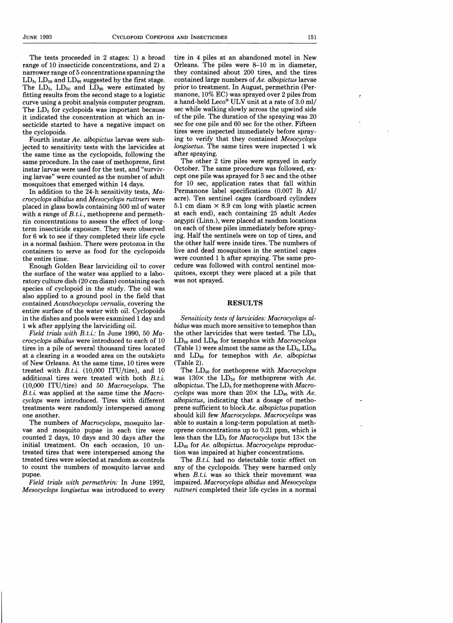$\epsilon$ 

The tests proceeded in 2 stages: 1) a broad range of 10 insecticide concentrations, and 2) a narrower range of 5 concentrations spanning the  $LD_5$ ,  $LD_{50}$  and  $LD_{95}$  suggested by the first stage. The  $LD_{5}$ ,  $LD_{50}$  and  $LD_{95}$  were estimated by fitting results from the second stage to a logistic curve using a probit analysis computer program. The  $LD<sub>5</sub>$  for cyclopoids was important because it indicated the concentration at which an insecticide started to have a negative impact on the cyclopoids.

Fourth instar *Ae. albopictus* larvae were subjected to sensitivity tests with the larvicides at the same time as the cyclopoids, following the same procedure. In the case of methoprene, first instar larvae were used for the test, and "surviving larvae" were counted as the number of adult mosquitoes that emerged within 14 days.

In addition to the 24-h sensitivity tests,  $Ma$ *crocyclops albidus* and *Mesocyclops ruttneri* were placed in glass bowls containing 500 ml of water with a range of *B.t.i.,* methoprene and permethrin concentrations to assess the effect of longterm insecticide exposure. They were observed for 6 wk to see if they completed their life cycle in a normal fashion. There were protozoa in the containers to serve as food for the cyclopoids the entire time.

Enough Golden Bear larviciding oil to cover the surface of the water was applied to a laboratory culture dish (20 cm diam) containing each species of cyclopoid in the study. The oil was also applied to a ground pool in the field that contained *Acanthocyclops vernalis,* covering the entire surface of the water with oil. Cyclopoids in the dishes and pools were examined 1 day and 1 wk after applying the larviciding oil.

*Field trials with B.t.i.:* In June 1990, 50 *Macrocyclops albidus* were introduced to each of 10 tires in a pile of several thousand tires located at a clearing in a wooded area on the outskirts of New Orleans. At the same time, 10 tires were treated with *B.t.i.* (10,000 ITU/tire), and 10 additional tires were treated with both *B.t.i.* (10,000 lTV/tire) and 50 *Macrocyclops.* The *B.t.i.* was applied at the same time the *Macrocyclops* were introduced. Tires with different treatments were randomly interspersed among one another.

The numbers of *Macrocyclops,* mosquito larvae and mosquito pupae in each tire were counted 2 days, 10 days and 30 days after the initial treatment. On each occasion, 10 untreated tires that were interspersed among the treated tires were selected at random as controls to count the numbers of mosquito larvae and pupae.

*Field trials with permethrin:* In June 1992, *Mesocyclops longisetus* was introduced to every tire in 4 piles at an abandoned motel in New Orleans. The piles were 8-10 m in diameter, they contained about 200 tires, and the tires contained large numbers of *Ae. albopictus* larvae prior to treatment. In August, permethrin (Permanone, 10% EC) was sprayed over 2 piles from a hand-held Leco® VLV unit at a rate of 3.0 ml/ sec while walking slowly across the upwind side of the pile. The duration of the spraying was 20 sec for one pile and 60 sec for the other. Fifteen tires were inspected immediately before spraying to verify that they contained *Mesocyclops longisetus.* The same tires were inspected 1 wk after spraying.

The other 2 tire piles were sprayed in early October. The same procedure was followed, except one pile was sprayed for 5 sec and the other for 10 sec, application rates that fall within Permanone label specifications (0.007 lb AI/ acre). Ten sentinel cages (cardboard cylinders 5.1 cm diam  $\times$  8.9 cm long with plastic screen at each end), each containing 25 adult *Aedes aegypti* (Linn.), were placed at random locations on each of these piles immediately before spraying. Half the sentinels were on top of tires, and the other half were inside tires. The numbers of live and dead mosquitoes in the sentinel cages were counted 1 h after spraying. The same procedure was followed with control sentinel mosquitoes, except they were placed at a pile that was not sprayed.

#### RESULTS

*Sensitivity tests of larvicides: Macrocyclops albidus* was much more sensitive to temephos than the other larvicides that were tested. The  $LD<sub>5</sub>$ , LD50 and LD95 for temephos with *Macrocyclops*  (Table 1) were almost the same as the  $LD_5$ ,  $LD_{50}$ and LD95 for temephos with *Ae. albopictus*  (Table 2).

The LD<sub>50</sub> for methoprene with *Macrocyclops* was  $130\times$  the LD<sub>50</sub> for methoprene with Ae. albopictus. The LD<sub>5</sub> for methoprene with *Macrocyclops* was more than *20x* the LD95 with *Ae. albopictus*, indicating that a dosage of methoprene sufficient to block *Ae. albopictus* pupation should kill few *Macrocyclops. Macrocyclops* was able to sustain a long-term population at methoprene concentrations up to 0.21 ppm, which is less than the LD<sub>5</sub> for *Macrocyclops* but  $13\times$  the LD95 for *Ae. albopictus. Macrocyclops* reproduction was impaired at higher concentrations.

The *B.t.i.* had no detectable toxic effect on any of the cyclopoids. They were harmed only when *B.t.i.* was so thick their movement was impaired. *Macrocyclops albidus* and *Mesocyclops ruttneri* completed their life cycles in a normal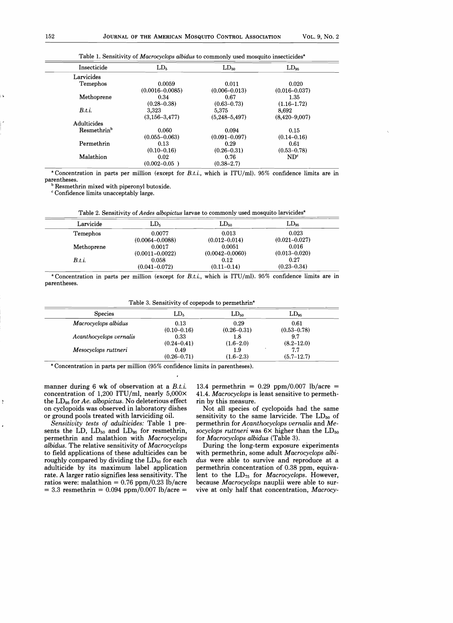|      | Insecticide             | LD <sub>5</sub>     | $LD_{50}$         | $LD_{95}$         |  |
|------|-------------------------|---------------------|-------------------|-------------------|--|
|      | Larvicides              |                     |                   |                   |  |
|      | Temephos                | 0.0059              | 0.011             | 0.020             |  |
|      |                         | $(0.0016 - 0.0085)$ | $(0.006 - 0.013)$ | $(0.016 - 0.037)$ |  |
| i të | Methoprene              | 0.34                | 0.67              | 1.35              |  |
|      |                         | $(0.28 - 0.38)$     | $(0.63 - 0.73)$   | $(1.16 - 1.72)$   |  |
|      | B.t.                    | 3.323               | 5.375             | 8.692             |  |
|      |                         | $(3, 156 - 3, 477)$ | $(5,248-5,497)$   | $(8,420 - 9,007)$ |  |
|      | Adulticides             |                     |                   |                   |  |
|      | Resmethrin <sup>b</sup> | 0.060               | 0.094             | 0.15              |  |
|      |                         | $(0.055 - 0.063)$   | $(0.091 - 0.097)$ | $(0.14 - 0.16)$   |  |
|      | Permethrin              | 0.13                | 0.29              | 0.61              |  |
|      |                         | $(0.10 - 0.16)$     | $(0.26 - 0.31)$   | $(0.53 - 0.78)$   |  |
|      | Malathion               | 0.02                | 0.76              | ND <sup>c</sup>   |  |
|      |                         | $(0.002 - 0.05)$    | $(0.38 - 2.7)$    |                   |  |

Table 1. Sensitivity of *Macrocyclops albidus* to commonly used mosquito insecticides<sup>8</sup>

8 Concentration in parts per million (except for *B.t.i.,* which is ITD/ml). 95% confidence limits are in parentheses.

**b** Resmethrin mixed with piperonyl butoxide.

<sup>c</sup> Confidence limits unacceptably large.

|  | Table 2. Sensitivity of Aedes albopictus larvae to commonly used mosquito larvicides <sup>a</sup> |  |  |  |
|--|---------------------------------------------------------------------------------------------------|--|--|--|
|--|---------------------------------------------------------------------------------------------------|--|--|--|

| Larvicide  | LD <sub>5</sub>     | $LD_{50}$           | $LD_{95}$         |  |
|------------|---------------------|---------------------|-------------------|--|
| Temephos   | 0.0077              | 0.013               | 0.023             |  |
|            | $(0.0064 - 0.0088)$ | $(0.012 - 0.014)$   | $(0.021 - 0.027)$ |  |
| Methoprene | 0.0017              | 0.0051              | 0.016             |  |
|            | $(0.0011 - 0.0022)$ | $(0.0042 - 0.0060)$ | $(0.013 - 0.020)$ |  |
| B.t.       | 0.058               | 0.12                | 0.27              |  |
|            | $(0.041 - 0.072)$   | $(0.11 - 0.14)$     | $(0.23 - 0.34)$   |  |

8 Concentration in parts per million (except for *B.t.i.,* which is ITD/ml). 95% confidence limits are in parentheses.

Table 3. Sensitivity of copepods to permethrin<sup>a</sup>

| <b>Species</b>          | LD <sub>5</sub> | $LD_{50}$       | $LD_{95}$       |
|-------------------------|-----------------|-----------------|-----------------|
| Macrocyclops albidus    | 0.13            | 0.29            | 0.61            |
|                         | $(0.10 - 0.16)$ | $(0.26 - 0.31)$ | $(0.53 - 0.78)$ |
| Acanthocyclops vernalis | 0.33            | 1.8             | 9.7             |
|                         | $(0.24 - 0.41)$ | $(1.6 - 2.0)$   | $(8.2 - 12.0)$  |
| Mesocyclops ruttneri    | 0.49            | 1.9             | 7.7             |
|                         | $(0.26 - 0.71)$ | $(1.6-2.3)$     | $(5.7-12.7)$    |

8 Concentration in parts per million (95% confidence limits in parentheses).

manner during 6 wk of observation at a *B.t.i.*  concentration of 1,200 ITU/ml, nearly  $5,000 \times$ the LD95 for *Ae. albopictus.* No deleterious effect on cyclopoids was observed in laboratory dishes or ground pools treated with larviciding oil.

*Sensitivity tests of adulticides:* Table 1 presents the LD,  $LD_{50}$  and  $LD_{95}$  for resmethrin, permethrin and malathion with *Macrocyclops albidus.* The relative sensitivity of *Macrocyclops*  to field applications of these adulticides can be roughly compared by dividing the  $LD_{50}$  for each adulticide by its maximum label application rate. A larger ratio signifies less sensitivity. The ratios were: malathion =  $0.76$  ppm/0.23 lb/acre  $= 3.3$  resmethrin  $= 0.094$  ppm/0.007 lb/acre  $=$ 

13.4 permethrin =  $0.29$  ppm/0.007 lb/acre = *41.4. Macrocyclops* is least sensitive to permethrin by this measure.

Not all species of cyclopoids had the same sensitivity to the same larvicide. The  $LD_{50}$  of permethrin for *Acanthocyclops vernalis* and *Mesocyclops ruttneri* was  $6 \times$  higher than the  $LD_{50}$ for *Macrocyclops albidus* (Table 3).

During the long-term exposure experiments with permethrin, some adult *Macrocyclops albidus* were able to survive and reproduce at a permethrin concentration of 0.38 ppm, equivalent to the LD<sub>75</sub> for *Macrocyclops*. However, because *M acrocyclops* nauplii were able to survive at only half that concentration, *Macrocy*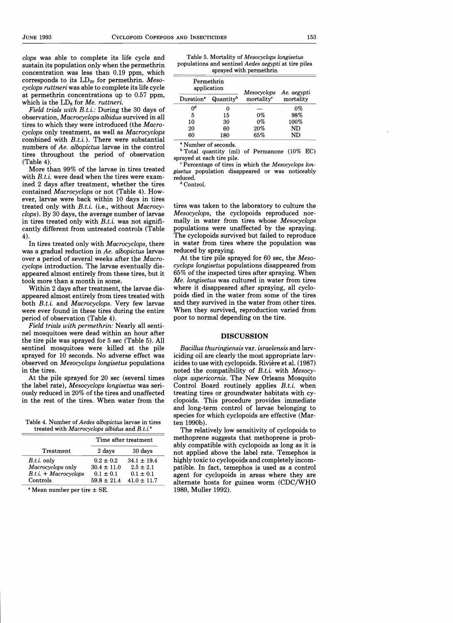*clops* was able to complete its life cycle and sustain its population only when the permethrin concentration was less than 0.19 ppm, which corresponds to its  $LD_{20}$  for permethrin. *Mesocyclops ruttneri* was able to complete its life cycle at permethrin concentrations up to 0.57 ppm, which is the LDs for *Me. ruttneri.* 

*Field trials with B.t.i.:* During the 30 days of observation, *Macrocyclops albidus* survived in all tires to which they were introduced (the *Macrocyclops* only treatment, as well as *Macrocyclops*  combined with *B.t.i.).* There were substantial numbers of *Ae. albopictus* larvae in the control tires throughout the period of observation (Table 4).

More than 99% of the larvae in tires treated with *B.t.i.* were dead when the tires were examined 2 days after treatment, whether the tires contained *Macrocyclops* or not (Table 4). However, larvae were back within 10 days in tires treated only with *B.t.i.* (i.e., without *Macrocyclops).* By 30 days, the average number of larvae in tires treated only with B.t.i. was not significantly different from untreated controls (Table 4).

In tires treated only with *Macrocyclops,* there was a gradual reduction in *Ae. albopictus* larvae over a period of several weeks after the *Macrocyclops* introduction. The larvae eventually disappeared almost entirely from these tires, but it took more than a month in some.

Within 2 days after treatment, the larvae disappeared almost entirely from tires treated with both *B.t.i.* and *Macrocyclops.* Very few larvae were ever found in these tires during the entire period of observation (Table 4).

*Field trials with permethrin:* Nearly all sentinel mosquitoes were dead within an hour after the tire pile was sprayed for 5 sec (Table 5). All sentinel mosquitoes were killed at the pile sprayed for 10 seconds. No adverse effect was observed on *Mesocyclops longisetus* populations in the tires.

At the pile sprayed for 20 sec (several times the label rate), *Mesocyclops longisetus* was seriously reduced in 20% of the tires and unaffected in the rest of the tires. When water from the

| Table 4. Number of <i>Aedes albopictus</i> larvae in tires |  |
|------------------------------------------------------------|--|
| treated with Macrocyclops albidus and B.t.i. <sup>a</sup>  |  |

|                         | Time after treatment |                 |
|-------------------------|----------------------|-----------------|
| Treatment               | 2 days               | 30 days         |
| $B.t.i.$ only           | $0.2 \pm 0.2$        | $34.1 + 19.4$   |
| Macrocyclops only       | $30.4 \pm 11.0$      | $2.5 \pm 2.1$   |
| $B.t.i. + Macrocvclops$ | $0.1 \pm 0.1$        | $0.1 \pm 0.1$   |
| Controls                | $59.8 \pm 21.4$      | $41.0 \pm 11.7$ |

 $^{\circ}$  Mean number per tire  $\pm$  SE.

Table 5. Mortality of *Mesocyclops longisetus*  populations and sentinel *Aedes aegypti* at tire piles sprayed with permethrin

| Permethrin<br>application |                       | Mesocyclops            | Ae. aegypti |
|---------------------------|-----------------------|------------------------|-------------|
| Duration <sup>a</sup>     | Quantity <sup>b</sup> | mortality <sup>c</sup> | mortality   |
| Uq                        |                       |                        | $0\%$       |
| 5                         | 15                    | 0%                     | 98%         |
| 10                        | 30                    | $0\%$                  | 100%        |
| 20                        | 60                    | 20%                    | ND          |
| 60                        | 180                   | 65%                    | ND          |

Number of seconds.

bTotal quantity (ml) of Permanone (10% EC) sprayed at each tire pile.

<sup>c</sup> Percentage of tires in which the *Mesocyclops longisetus* population disappeared or was noticeably reduced.

<sup>d</sup> Control.

tires was taken to the laboratory to culture the *Mesocyclops*, the cyclopoids reproduced normally in water from tires whose *Mesocyclops*  populations were unaffected by the spraying. The cyclopoids survived but failed to reproduce in water from tires where the population was reduced by spraying.

At the tire pile sprayed for 60 sec, the *Mesocyclops longisetus* populations disappeared from 65% of the inspected tires after spraying. When *Me. longisetus* was cultured in water from tires where it disappeared after spraying, all cyclopoids died in the water from some of the tires and they survived in the water from other tires. When they survived, reproduction varied from poor to normal depending on the tire.

#### **DISCUSSION**

*Bacillus thuringiensis* var. *israelensis* and larviciding oil are clearly the most appropriate larvicides to use with cyclopoids. Riviere et al. (1987) noted the compatibility of *B.t.i.* with *Mesocyclops aspericornis.* The New Orleans Mosquito Control Board routinely applies *B.t.i.* when treating tires or groundwater habitats with cyclopoids. This procedure provides immediate and long-term control of larvae belonging to species for which cyclopoids are effective (Marten 1990b).

The relatively low sensitivity of cyclopoids to methoprene suggests that methoprene is probably compatible with cyclopoids as long as it is not applied above the label rate. Temephos is highly toxic to cyclopoids and completely incompatible. In fact, temephos is used as a control agent for cyclopoids in areas where they are alternate hosts for guinea worm (CDC/WHO 1989, Muller 1992).